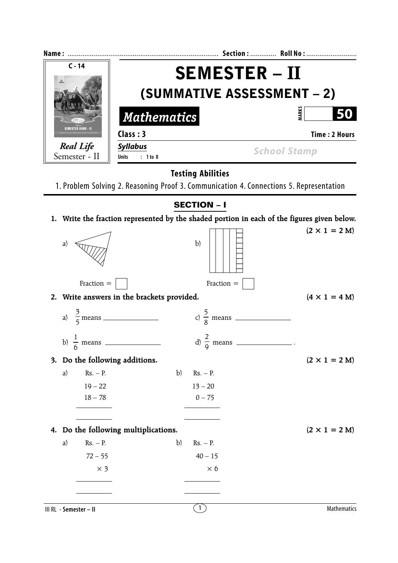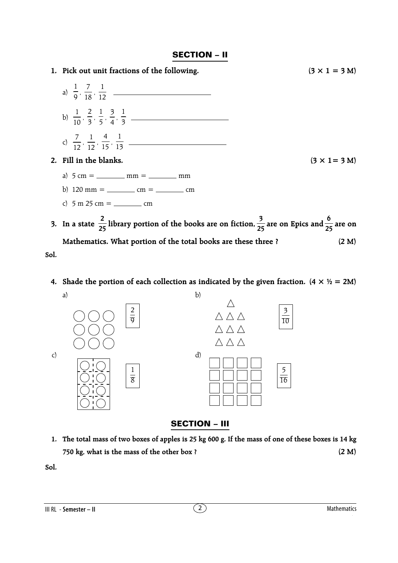## **SECTION – II**



**4.** Shade the portion of each collection as indicated by the given fraction.  $(4 \times \frac{1}{2}) = 2M$ 



## **SECTION – III**

**1. The total mass of two boxes of apples is 25 kg 600 g. If the mass of one of these boxes is 14 kg 750 kg, what is the mass of the other box ? (2 M)**

**Sol.**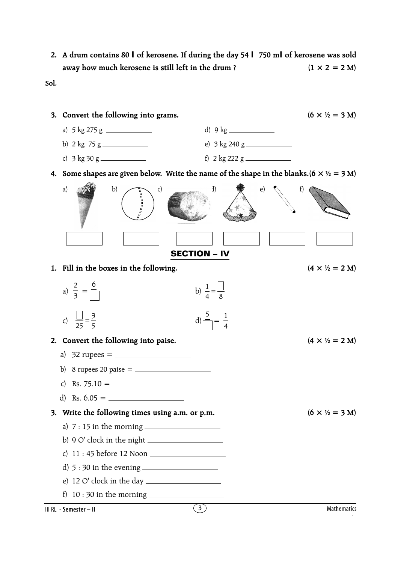**2. A drum contains 80** *l* **of kerosene. If during the day 54** *l* **750 m***l* **of kerosene was sold** away how much kerosene is still left in the drum ?  $(1 \times 2 = 2 M)$ 

**Sol.**